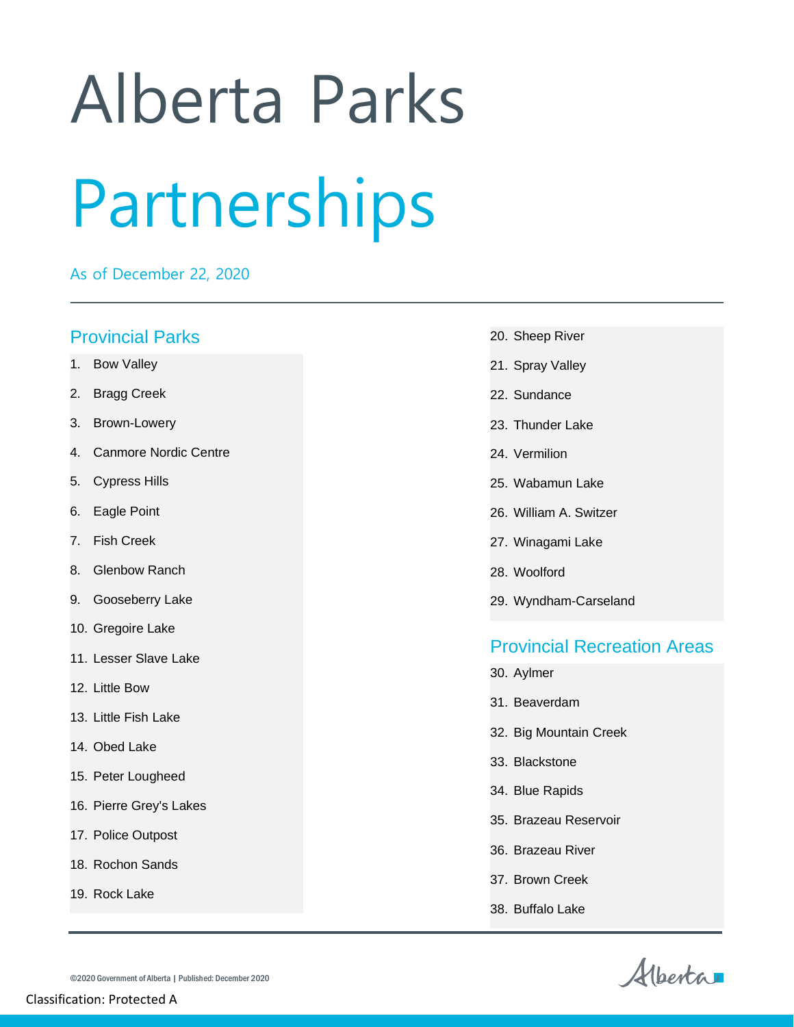## Alberta Parks Partnerships

As of December 22, 2020

## Provincial Parks

- 1. Bow Valley
- 2. Bragg Creek
- 3. Brown-Lowery
- 4. Canmore Nordic Centre
- 5. Cypress Hills
- 6. Eagle Point
- 7. Fish Creek
- 8. Glenbow Ranch
- 9. Gooseberry Lake
- 10. Gregoire Lake
- 11. Lesser Slave Lake
- 12. Little Bow
- 13. Little Fish Lake
- 14. Obed Lake
- 15. Peter Lougheed
- 16. Pierre Grey's Lakes
- 17. Police Outpost
- 18. Rochon Sands
- 19. Rock Lake
- 20. Sheep River
- 21. Spray Valley
- 22. Sundance
- 23. Thunder Lake
- 24. Vermilion
- 25. Wabamun Lake
- 26. William A. Switzer
- 27. Winagami Lake
- 28. Woolford
- 29. Wyndham-Carseland

## Provincial Recreation Areas

- 30. Aylmer
- 31. Beaverdam
- 32. Big Mountain Creek
- 33. Blackstone
- 34. Blue Rapids
- 35. Brazeau Reservoir
- 36. Brazeau River
- 37. Brown Creek
- 38. Buffalo Lake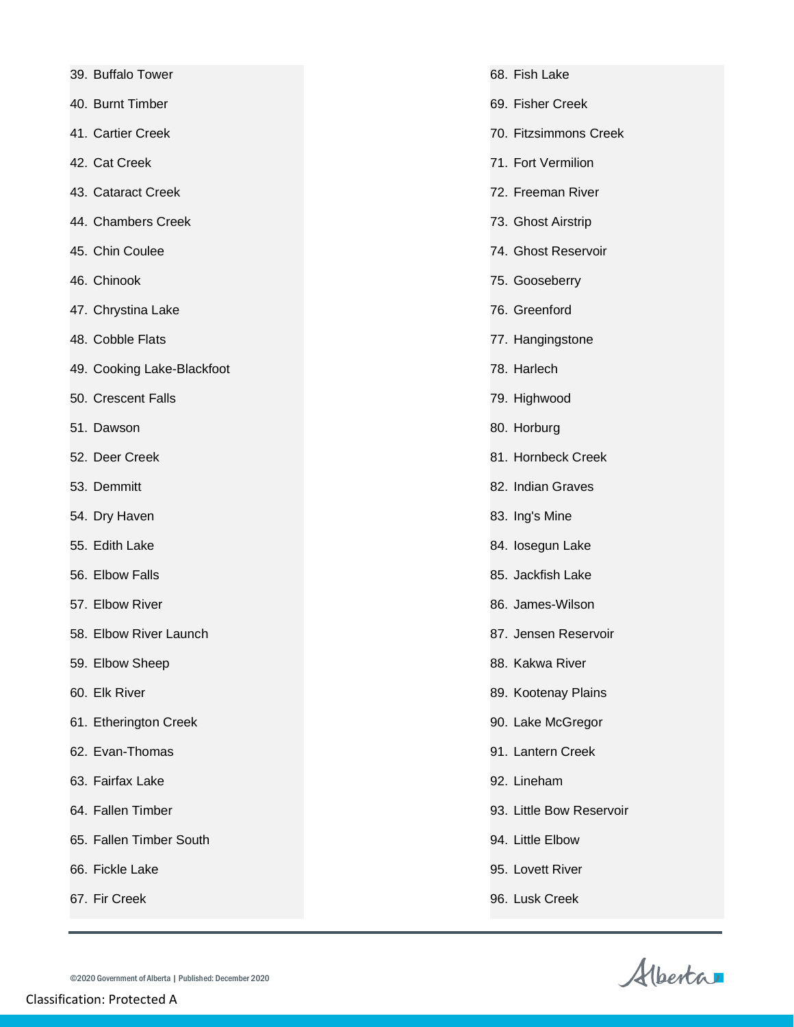| 39. Buffalo Tower |  |
|-------------------|--|
|                   |  |

40. Burnt Timber

- 41. Cartier Creek
- 42. Cat Creek
- 43. Cataract Creek
- 44. Chambers Creek
- 45. Chin Coulee
- 46. Chinook
- 47. Chrystina Lake
- 48. Cobble Flats
- 49. Cooking Lake-Blackfoot
- 50. Crescent Falls
- 51. Dawson
- 52. Deer Creek
- 53. Demmitt
- 54. Dry Haven
- 55. Edith Lake
- 56. Elbow Falls
- 57. Elbow River
- 58. Elbow River Launch
- 59. Elbow Sheep
- 60. Elk River
- 61. Etherington Creek
- 62. Evan-Thomas
- 63. Fairfax Lake
- 64. Fallen Timber
- 65. Fallen Timber South
- 66. Fickle Lake
- 67. Fir Creek
- 68. Fish Lake
	- 69. Fisher Creek
	- 70. Fitzsimmons Creek
	- 71. Fort Vermilion
	- 72. Freeman River
	- 73. Ghost Airstrip
	- 74. Ghost Reservoir
	- 75. Gooseberry
	- 76. Greenford
	- 77. Hangingstone
	- 78. Harlech
	- 79. Highwood
	- 80. Horburg
	- 81. Hornbeck Creek
	- 82. Indian Graves
	- 83. Ing's Mine
	- 84. Iosegun Lake
	- 85. Jackfish Lake
	- 86. James-Wilson
	- 87. Jensen Reservoir
	- 88. Kakwa River
	- 89. Kootenay Plains
	- 90. Lake McGregor
	- 91. Lantern Creek
	- 92. Lineham
	- 93. Little Bow Reservoir
	- 94. Little Elbow
	- 95. Lovett River
	- 96. Lusk Creek

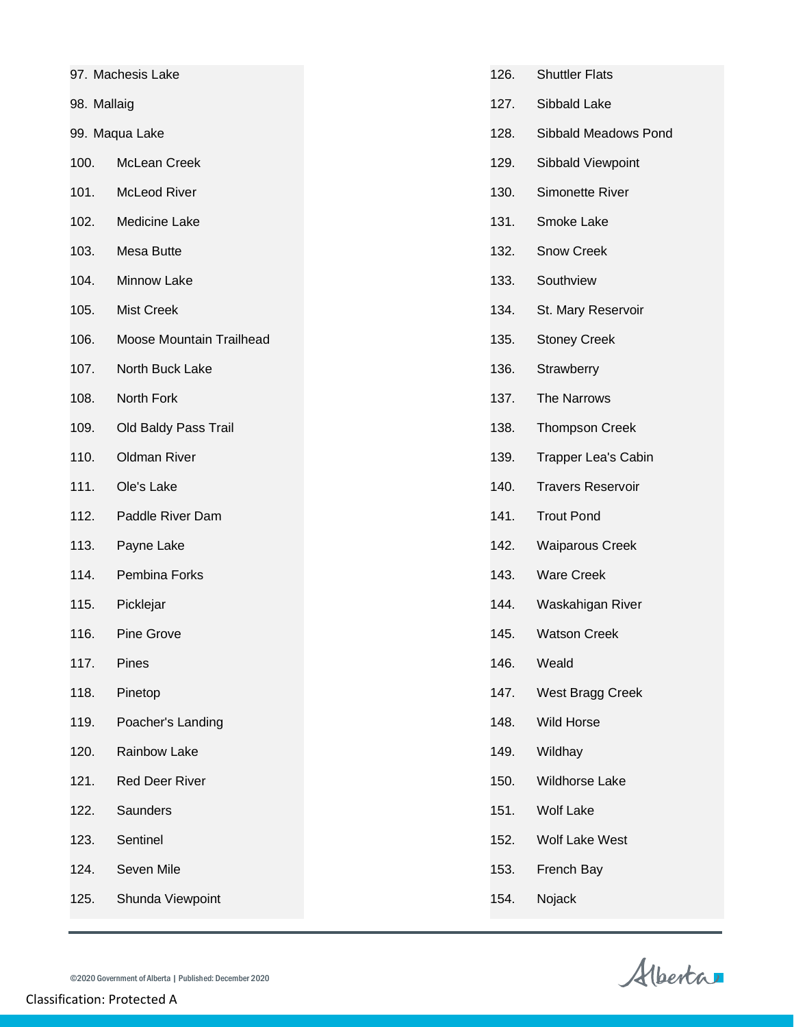| 97. Machesis Lake |                          | 126. | <b>Shuttler Flats</b>    |
|-------------------|--------------------------|------|--------------------------|
| 98. Mallaig       |                          | 127. | Sibbald Lake             |
| 99. Maqua Lake    |                          | 128. | Sibbald Meadows Pond     |
| 100.              | McLean Creek             | 129. | Sibbald Viewpoint        |
| 101.              | McLeod River             | 130. | Simonette River          |
| 102.              | Medicine Lake            | 131. | Smoke Lake               |
| 103.              | Mesa Butte               | 132. | Snow Creek               |
| 104.              | Minnow Lake              | 133. | Southview                |
| 105.              | <b>Mist Creek</b>        | 134. | St. Mary Reservoir       |
| 106.              | Moose Mountain Trailhead | 135. | <b>Stoney Creek</b>      |
| 107.              | North Buck Lake          | 136. | Strawberry               |
| 108.              | North Fork               | 137. | The Narrows              |
| 109.              | Old Baldy Pass Trail     | 138. | <b>Thompson Creek</b>    |
| 110.              | <b>Oldman River</b>      | 139. | Trapper Lea's Cabin      |
| 111.              | Ole's Lake               | 140. | <b>Travers Reservoir</b> |
| 112.              | Paddle River Dam         | 141. | <b>Trout Pond</b>        |
| 113.              | Payne Lake               | 142. | <b>Waiparous Creek</b>   |
| 114.              | Pembina Forks            | 143. | <b>Ware Creek</b>        |
| 115.              | Picklejar                | 144. | Waskahigan River         |
| 116.              | <b>Pine Grove</b>        | 145. | <b>Watson Creek</b>      |
| 117.              | Pines                    | 146. | Weald                    |
| 118.              | Pinetop                  | 147. | West Bragg Creek         |
| 119.              | Poacher's Landing        | 148. | Wild Horse               |
| 120.              | Rainbow Lake             | 149. | Wildhay                  |
| 121.              | Red Deer River           | 150. | Wildhorse Lake           |
| 122.              | Saunders                 | 151. | <b>Wolf Lake</b>         |
| 123.              | Sentinel                 | 152. | Wolf Lake West           |
| 124.              | Seven Mile               | 153. | French Bay               |
| 125.              | Shunda Viewpoint         | 154. | Nojack                   |
|                   |                          |      |                          |